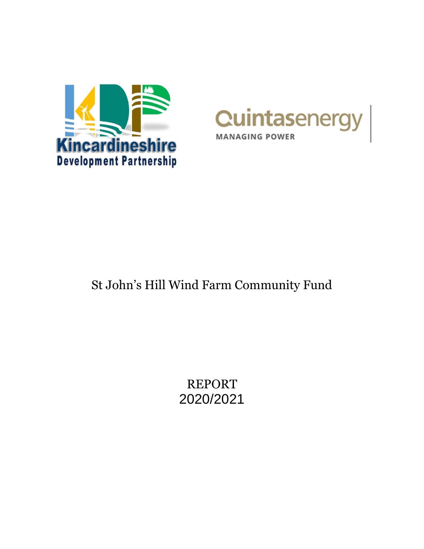



# St John's Hill Wind Farm Community Fund

REPORT 2020/2021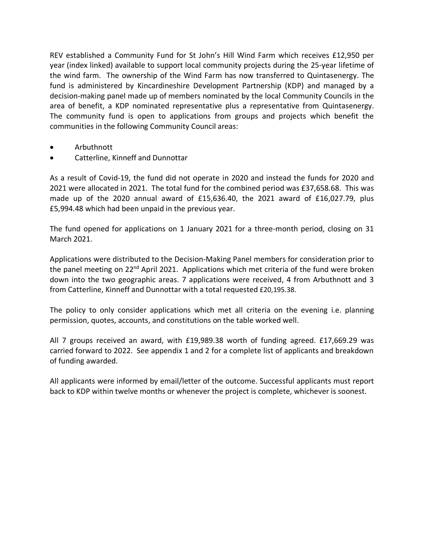REV established a Community Fund for St John's Hill Wind Farm which receives £12,950 per year (index linked) available to support local community projects during the 25-year lifetime of the wind farm. The ownership of the Wind Farm has now transferred to Quintasenergy. The fund is administered by Kincardineshire Development Partnership (KDP) and managed by a decision-making panel made up of members nominated by the local Community Councils in the area of benefit, a KDP nominated representative plus a representative from Quintasenergy. The community fund is open to applications from groups and projects which benefit the communities in the following Community Council areas:

- Arbuthnott
- Catterline, Kinneff and Dunnottar

As a result of Covid-19, the fund did not operate in 2020 and instead the funds for 2020 and 2021 were allocated in 2021. The total fund for the combined period was £37,658.68. This was made up of the 2020 annual award of £15,636.40, the 2021 award of £16,027.79, plus £5,994.48 which had been unpaid in the previous year.

The fund opened for applications on 1 January 2021 for a three-month period, closing on 31 March 2021.

Applications were distributed to the Decision-Making Panel members for consideration prior to the panel meeting on 22<sup>nd</sup> April 2021. Applications which met criteria of the fund were broken down into the two geographic areas. 7 applications were received, 4 from Arbuthnott and 3 from Catterline, Kinneff and Dunnottar with a total requested £20,195.38.

The policy to only consider applications which met all criteria on the evening i.e. planning permission, quotes, accounts, and constitutions on the table worked well.

All 7 groups received an award, with £19,989.38 worth of funding agreed. £17,669.29 was carried forward to 2022. See appendix 1 and 2 for a complete list of applicants and breakdown of funding awarded.

All applicants were informed by email/letter of the outcome. Successful applicants must report back to KDP within twelve months or whenever the project is complete, whichever is soonest.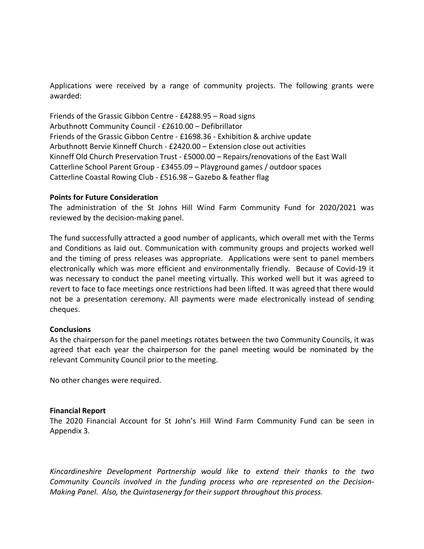Applications were received by a range of community projects. The following grants were awarded:

Friends of the Grassic Gibbon Centre - £4288.95 – Road signs Arbuthnott Community Council - £2610.00 – Defibrillator Friends of the Grassic Gibbon Centre - £1698.36 - Exhibition & archive update Arbuthnott Bervie Kinneff Church - £2420.00 – Extension close out activities Kinneff Old Church Preservation Trust - £5000.00 – Repairs/renovations of the East Wall Catterline School Parent Group - £3455.09 – Playground games / outdoor spaces Catterline Coastal Rowing Club - £516.98 – Gazebo & feather flag

### **Points for Future Consideration**

The administration of the St Johns Hill Wind Farm Community Fund for 2020/2021 was reviewed by the decision-making panel.

The fund successfully attracted a good number of applicants, which overall met with the Terms and Conditions as laid out. Communication with community groups and projects worked well and the timing of press releases was appropriate. Applications were sent to panel members electronically which was more efficient and environmentally friendly. Because of Covid-19 it was necessary to conduct the panel meeting virtually. This worked well but it was agreed to revert to face to face meetings once restrictions had been lifted. It was agreed that there would not be a presentation ceremony. All payments were made electronically instead of sending cheques.

### **Conclusions**

As the chairperson for the panel meetings rotates between the two Community Councils, it was agreed that each year the chairperson for the panel meeting would be nominated by the relevant Community Council prior to the meeting.

No other changes were required.

#### **Financial Report**

The 2020 Financial Account for St John's Hill Wind Farm Community Fund can be seen in Appendix 3.

*Kincardineshire Development Partnership would like to extend their thanks to the two Community Councils involved in the funding process who are represented on the Decision-Making Panel. Also, the Quintasenergy for their support throughout this process.*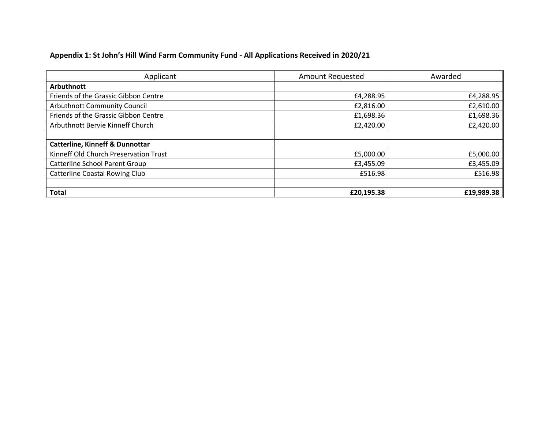## **Appendix 1: St John's Hill Wind Farm Community Fund - All Applications Received in 2020/21**

| Applicant                                  | <b>Amount Requested</b> | Awarded    |
|--------------------------------------------|-------------------------|------------|
| <b>Arbuthnott</b>                          |                         |            |
| Friends of the Grassic Gibbon Centre       | £4,288.95               | £4,288.95  |
| <b>Arbuthnott Community Council</b>        | £2,816.00               | £2,610.00  |
| Friends of the Grassic Gibbon Centre       | £1,698.36               | £1,698.36  |
| Arbuthnott Bervie Kinneff Church           | £2,420.00               | £2,420.00  |
|                                            |                         |            |
| <b>Catterline, Kinneff &amp; Dunnottar</b> |                         |            |
| Kinneff Old Church Preservation Trust      | £5,000.00               | £5,000.00  |
| <b>Catterline School Parent Group</b>      | £3,455.09               | £3,455.09  |
| <b>Catterline Coastal Rowing Club</b>      | £516.98                 | £516.98    |
|                                            |                         |            |
| <b>Total</b>                               | £20,195.38              | £19,989.38 |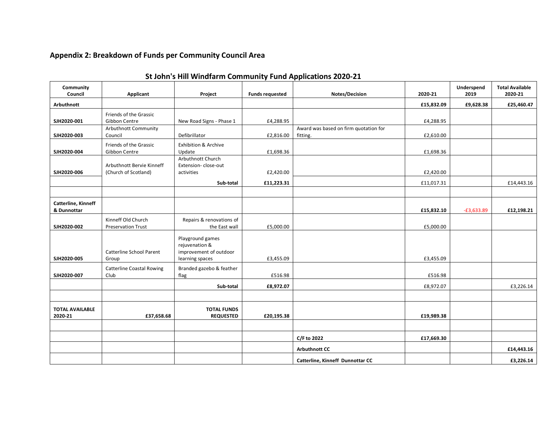### **Appendix 2: Breakdown of Funds per Community Council Area**

| Community<br>Council               | Applicant                                                       | Project                                                                         | <b>Funds requested</b> | Notes/Decision                        | 2020-21    | Underspend<br>2019 | <b>Total Available</b><br>2020-21 |
|------------------------------------|-----------------------------------------------------------------|---------------------------------------------------------------------------------|------------------------|---------------------------------------|------------|--------------------|-----------------------------------|
| Arbuthnott                         |                                                                 |                                                                                 |                        |                                       | £15,832.09 | £9,628.38          | £25,460.47                        |
| SJH2020-001                        | Friends of the Grassic<br>Gibbon Centre<br>Arbuthnott Community | New Road Signs - Phase 1                                                        | £4,288.95              | Award was based on firm quotation for | £4,288.95  |                    |                                   |
| SJH2020-003                        | Council                                                         | Defibrillator                                                                   | £2,816.00              | fitting.                              | £2,610.00  |                    |                                   |
| SJH2020-004                        | Friends of the Grassic<br>Gibbon Centre                         | <b>Exhibition &amp; Archive</b><br>Update                                       | £1,698.36              |                                       | £1,698.36  |                    |                                   |
| SJH2020-006                        | Arbuthnott Bervie Kinneff<br>(Church of Scotland)               | Arbuthnott Church<br>Extension-close-out<br>activities                          | £2,420.00              |                                       | £2,420.00  |                    |                                   |
|                                    |                                                                 | Sub-total                                                                       | £11,223.31             |                                       | £11,017.31 |                    | £14,443.16                        |
|                                    |                                                                 |                                                                                 |                        |                                       |            |                    |                                   |
| Catterline, Kinneff<br>& Dunnottar |                                                                 |                                                                                 |                        |                                       | £15,832.10 | $-E3,633.89$       | £12,198.21                        |
| SJH2020-002                        | Kinneff Old Church<br><b>Preservation Trust</b>                 | Repairs & renovations of<br>the East wall                                       | £5,000.00              |                                       | £5,000.00  |                    |                                   |
| SJH2020-005                        | Catterline School Parent<br>Group                               | Playground games<br>rejuvenation &<br>improvement of outdoor<br>learning spaces | £3,455.09              |                                       | £3,455.09  |                    |                                   |
| SJH2020-007                        | <b>Catterline Coastal Rowing</b><br>Club                        | Branded gazebo & feather<br>flag                                                | £516.98                |                                       | £516.98    |                    |                                   |
|                                    |                                                                 | Sub-total                                                                       | £8,972.07              |                                       | £8,972.07  |                    | £3,226.14                         |
|                                    |                                                                 |                                                                                 |                        |                                       |            |                    |                                   |
| <b>TOTAL AVAILABLE</b><br>2020-21  | £37,658.68                                                      | <b>TOTAL FUNDS</b><br><b>REQUESTED</b>                                          | £20,195.38             |                                       | £19,989.38 |                    |                                   |
|                                    |                                                                 |                                                                                 |                        |                                       |            |                    |                                   |
|                                    |                                                                 |                                                                                 |                        | C/F to 2022                           | £17,669.30 |                    |                                   |
|                                    |                                                                 |                                                                                 |                        | <b>Arbuthnott CC</b>                  |            |                    | £14,443.16                        |
|                                    |                                                                 |                                                                                 |                        | Catterline, Kinneff Dunnottar CC      |            |                    | £3,226.14                         |

### **St John's Hill Windfarm Community Fund Applications 2020-21**